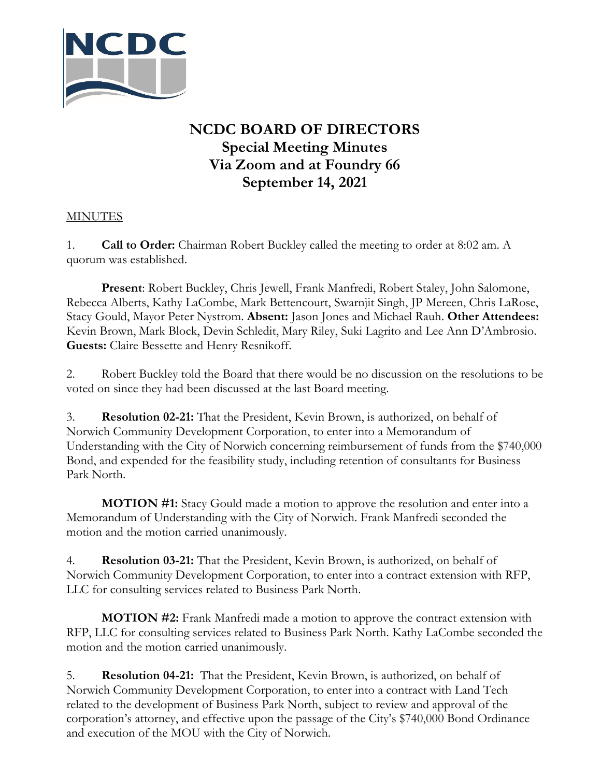

## **NCDC BOARD OF DIRECTORS Special Meeting Minutes Via Zoom and at Foundry 66 September 14, 2021**

## **MINUTES**

1. **Call to Order:** Chairman Robert Buckley called the meeting to order at 8:02 am. A quorum was established.

**Present**: Robert Buckley, Chris Jewell, Frank Manfredi, Robert Staley, John Salomone, Rebecca Alberts, Kathy LaCombe, Mark Bettencourt, Swarnjit Singh, JP Mereen, Chris LaRose, Stacy Gould, Mayor Peter Nystrom. **Absent:** Jason Jones and Michael Rauh. **Other Attendees:** Kevin Brown, Mark Block, Devin Schledit, Mary Riley, Suki Lagrito and Lee Ann D'Ambrosio. **Guests:** Claire Bessette and Henry Resnikoff.

2. Robert Buckley told the Board that there would be no discussion on the resolutions to be voted on since they had been discussed at the last Board meeting.

3. **Resolution 02-21:** That the President, Kevin Brown, is authorized, on behalf of Norwich Community Development Corporation, to enter into a Memorandum of Understanding with the City of Norwich concerning reimbursement of funds from the \$740,000 Bond, and expended for the feasibility study, including retention of consultants for Business Park North.

**MOTION #1:** Stacy Gould made a motion to approve the resolution and enter into a Memorandum of Understanding with the City of Norwich. Frank Manfredi seconded the motion and the motion carried unanimously.

4. **Resolution 03-21:** That the President, Kevin Brown, is authorized, on behalf of Norwich Community Development Corporation, to enter into a contract extension with RFP, LLC for consulting services related to Business Park North.

**MOTION #2:** Frank Manfredi made a motion to approve the contract extension with RFP, LLC for consulting services related to Business Park North. Kathy LaCombe seconded the motion and the motion carried unanimously.

5. **Resolution 04-21:** That the President, Kevin Brown, is authorized, on behalf of Norwich Community Development Corporation, to enter into a contract with Land Tech related to the development of Business Park North, subject to review and approval of the corporation's attorney, and effective upon the passage of the City's \$740,000 Bond Ordinance and execution of the MOU with the City of Norwich.